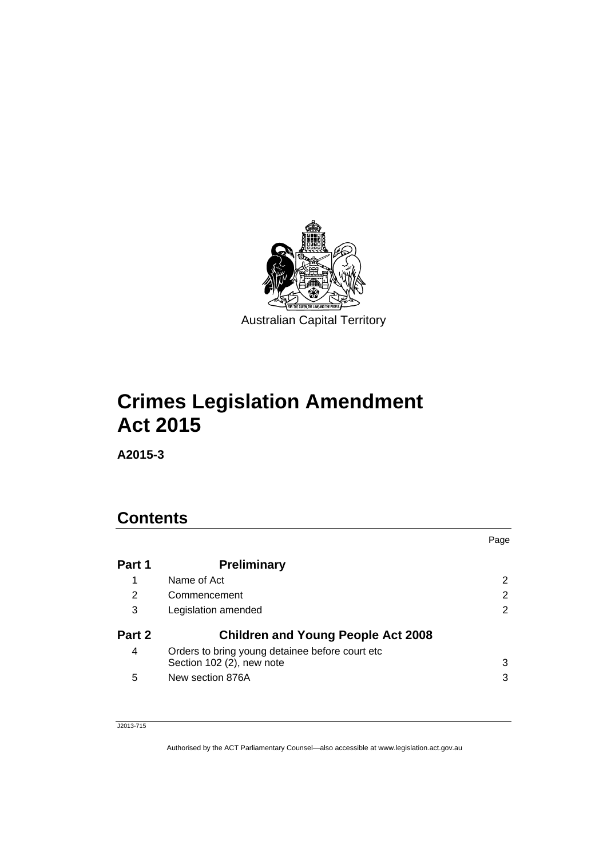

# **Crimes Legislation Amendment Act 2015**

**A2015-3** 

# **Contents**

|        |                                                                               | Page |
|--------|-------------------------------------------------------------------------------|------|
| Part 1 | <b>Preliminary</b>                                                            |      |
| 1      | Name of Act                                                                   |      |
| 2      | Commencement                                                                  | 2    |
| 3      | Legislation amended                                                           | 2    |
| Part 2 | <b>Children and Young People Act 2008</b>                                     |      |
| 4      | Orders to bring young detainee before court etc.<br>Section 102 (2), new note | 3    |
| 5      | New section 876A                                                              | 3    |

J2013-715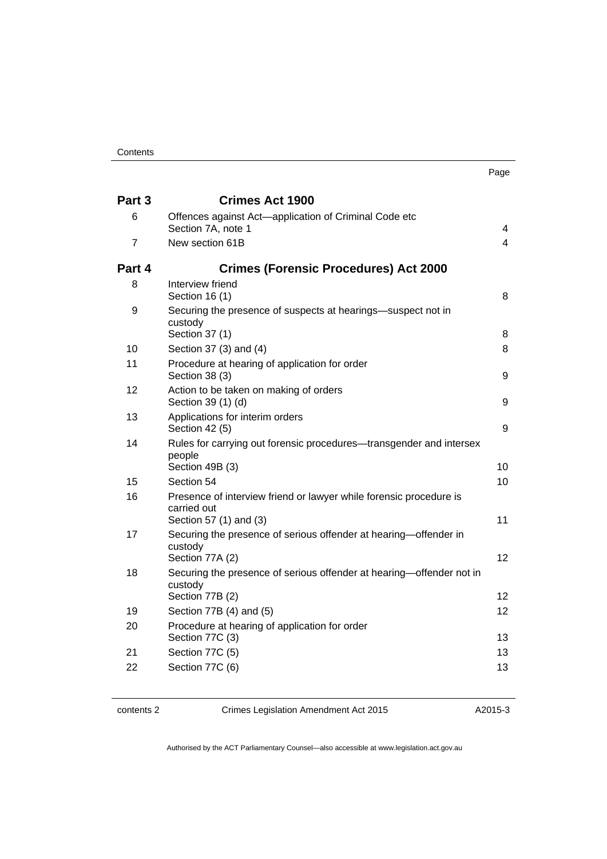| ×<br>× |  |
|--------|--|

| Part 3 | <b>Crimes Act 1900</b>                                                                           |                   |
|--------|--------------------------------------------------------------------------------------------------|-------------------|
| 6      | Offences against Act-application of Criminal Code etc<br>Section 7A, note 1                      | 4                 |
| 7      | New section 61B                                                                                  | $\overline{4}$    |
| Part 4 | <b>Crimes (Forensic Procedures) Act 2000</b>                                                     |                   |
| 8      | Interview friend<br>Section 16 (1)                                                               | 8                 |
| 9      | Securing the presence of suspects at hearings—suspect not in<br>custody<br>Section 37 (1)        | 8                 |
| 10     | Section 37 (3) and (4)                                                                           | 8                 |
| 11     | Procedure at hearing of application for order<br>Section 38 (3)                                  | 9                 |
| 12     | Action to be taken on making of orders<br>Section 39 (1) (d)                                     | 9                 |
| 13     | Applications for interim orders<br>Section 42 (5)                                                | 9                 |
| 14     | Rules for carrying out forensic procedures-transgender and intersex<br>people<br>Section 49B (3) | 10                |
| 15     | Section 54                                                                                       | 10 <sup>1</sup>   |
| 16     | Presence of interview friend or lawyer while forensic procedure is<br>carried out                |                   |
|        | Section 57 (1) and (3)                                                                           | 11                |
| 17     | Securing the presence of serious offender at hearing-offender in<br>custody<br>Section 77A (2)   | $12 \overline{ }$ |
| 18     | Securing the presence of serious offender at hearing—offender not in<br>custody                  |                   |
|        | Section 77B (2)                                                                                  | 12                |
| 19     | Section 77B (4) and (5)                                                                          | 12                |
| 20     | Procedure at hearing of application for order<br>Section 77C (3)                                 | 13                |
| 21     | Section 77C (5)                                                                                  | 13                |
| 22     | Section 77C (6)                                                                                  | 13                |

contents 2 Crimes Legislation Amendment Act 2015

A2015-3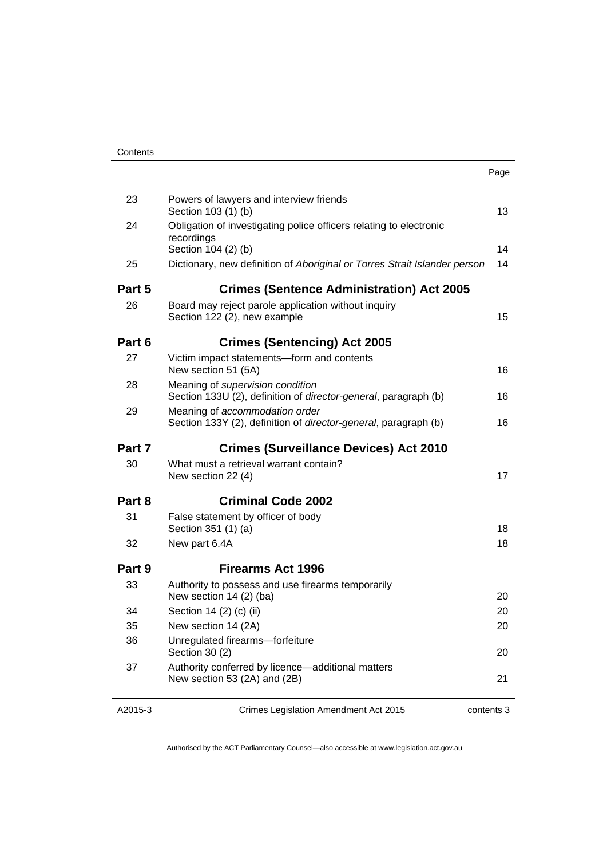| 23     | Powers of lawyers and interview friends<br>Section 103 (1) (b)                                            | 13 |
|--------|-----------------------------------------------------------------------------------------------------------|----|
| 24     | Obligation of investigating police officers relating to electronic<br>recordings                          |    |
|        | Section 104 (2) (b)                                                                                       | 14 |
| 25     | Dictionary, new definition of Aboriginal or Torres Strait Islander person                                 | 14 |
| Part 5 | <b>Crimes (Sentence Administration) Act 2005</b>                                                          |    |
| 26     | Board may reject parole application without inquiry<br>Section 122 (2), new example                       | 15 |
| Part 6 | <b>Crimes (Sentencing) Act 2005</b>                                                                       |    |
| 27     | Victim impact statements-form and contents<br>New section 51 (5A)                                         | 16 |
| 28     | Meaning of supervision condition<br>Section 133U (2), definition of director-general, paragraph (b)       | 16 |
| 29     | Meaning of accommodation order<br>Section 133Y (2), definition of <i>director-general</i> , paragraph (b) | 16 |
| Part 7 | <b>Crimes (Surveillance Devices) Act 2010</b>                                                             |    |
| 30     | What must a retrieval warrant contain?<br>New section 22 (4)                                              | 17 |
| Part 8 | <b>Criminal Code 2002</b>                                                                                 |    |
| 31     | False statement by officer of body                                                                        |    |
|        | Section 351 (1) (a)                                                                                       | 18 |
| 32     | New part 6.4A                                                                                             | 18 |
| Part 9 | Firearms Act 1996                                                                                         |    |
| 33     | Authority to possess and use firearms temporarily<br>New section 14 (2) (ba)                              | 20 |
| 34     | Section 14 (2) (c) (ii)                                                                                   | 20 |
| 35     | New section 14 (2A)                                                                                       | 20 |
| 36     | Unregulated firearms-forfeiture<br>Section 30 (2)                                                         | 20 |
| 37     | Authority conferred by licence-additional matters<br>New section 53 (2A) and (2B)                         | 21 |
|        |                                                                                                           |    |

A2015-3

Crimes Legislation Amendment Act 2015

contents 3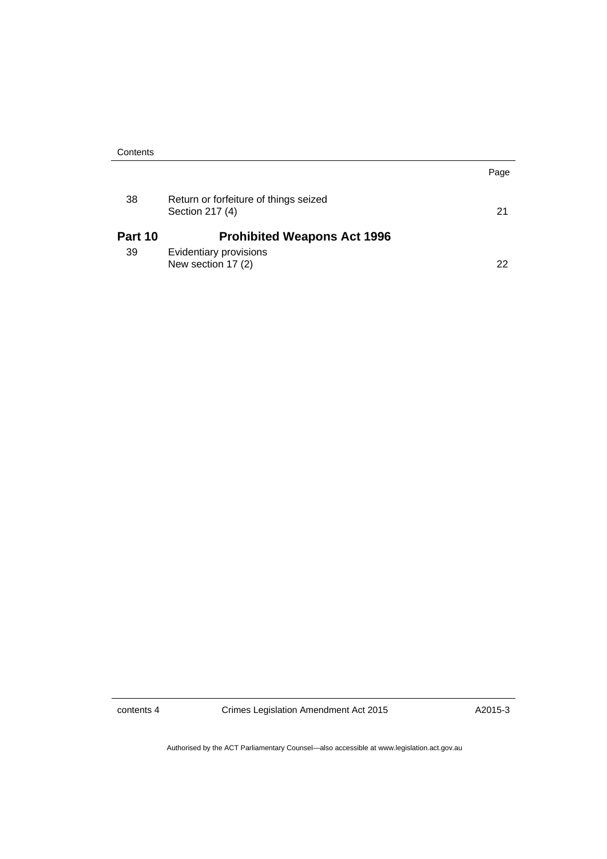| Contents |                                                          |      |
|----------|----------------------------------------------------------|------|
|          |                                                          | Page |
| 38       | Return or forfeiture of things seized<br>Section 217 (4) | 21   |
| Part 10  | <b>Prohibited Weapons Act 1996</b>                       |      |
| 39       | Evidentiary provisions<br>New section 17 (2)             | 22   |

contents 4 Crimes Legislation Amendment Act 2015

A2015-3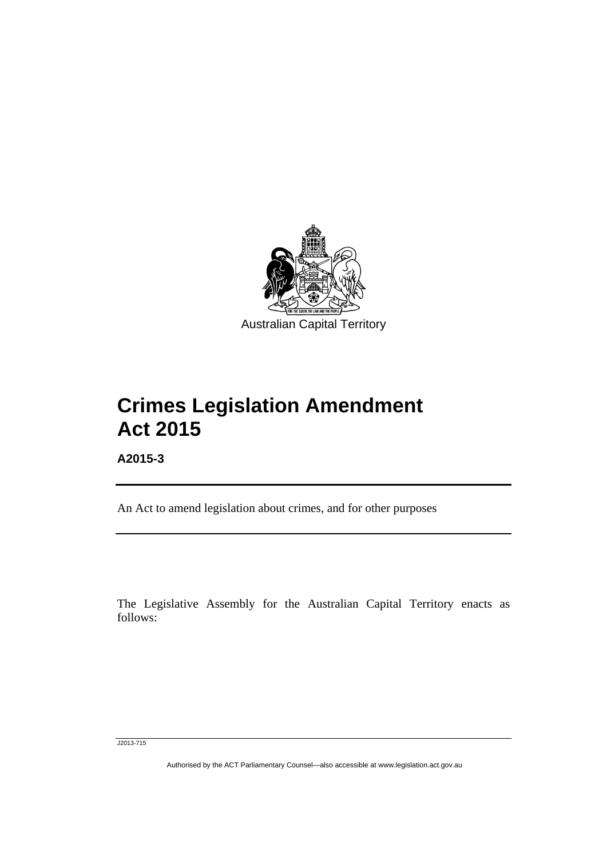

# **Crimes Legislation Amendment Act 2015**

**A2015-3** 

l

An Act to amend legislation about crimes, and for other purposes

The Legislative Assembly for the Australian Capital Territory enacts as follows:

J2013-715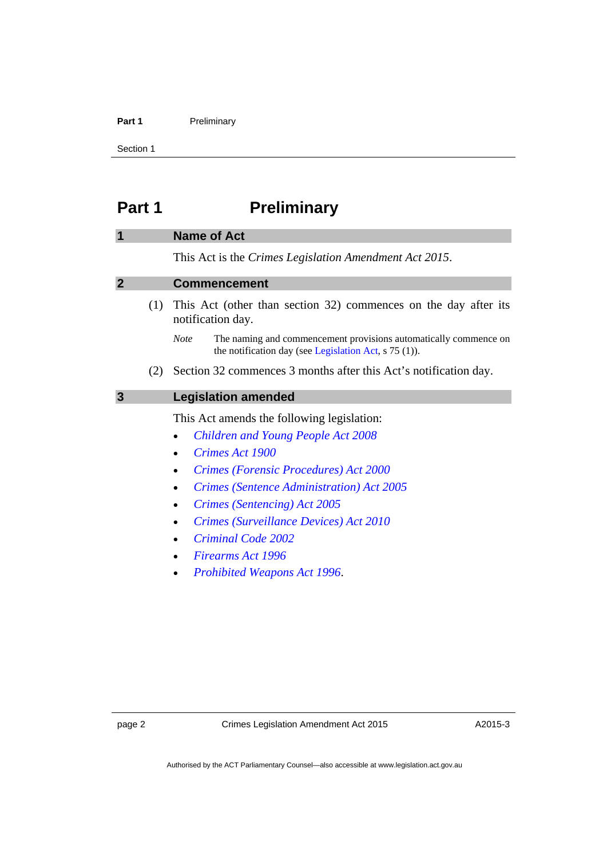#### Part 1 **Preliminary**

Section 1

# <span id="page-5-0"></span>**Part 1** Preliminary

#### <span id="page-5-1"></span>**1 Name of Act**

This Act is the *Crimes Legislation Amendment Act 2015*.

#### <span id="page-5-2"></span>**2 Commencement**

- (1) This Act (other than section 32) commences on the day after its notification day.
	- *Note* The naming and commencement provisions automatically commence on the notification day (see [Legislation Act,](http://www.legislation.act.gov.au/a/2001-14) s 75 (1)).
- (2) Section 32 commences 3 months after this Act's notification day.

# <span id="page-5-3"></span>**3 Legislation amended**

This Act amends the following legislation:

- *[Children and Young People Act 2008](http://www.legislation.act.gov.au/a/2008-19)*
- *[Crimes Act 1900](http://www.legislation.act.gov.au/a/1900-40)*
- *[Crimes \(Forensic Procedures\) Act 2000](http://www.legislation.act.gov.au/a/2000-61)*
- *[Crimes \(Sentence Administration\) Act 2005](http://www.legislation.act.gov.au/a/2005-59)*
- *[Crimes \(Sentencing\) Act 2005](http://www.legislation.act.gov.au/a/2005-58)*
- *[Crimes \(Surveillance Devices\) Act 2010](http://www.legislation.act.gov.au/a/2010-23)*
- *[Criminal Code 2002](http://www.legislation.act.gov.au/a/2002-51)*
- *[Firearms Act 1996](http://www.legislation.act.gov.au/a/1996-74)*
- *[Prohibited Weapons Act 1996](http://www.legislation.act.gov.au/a/1996-75)*.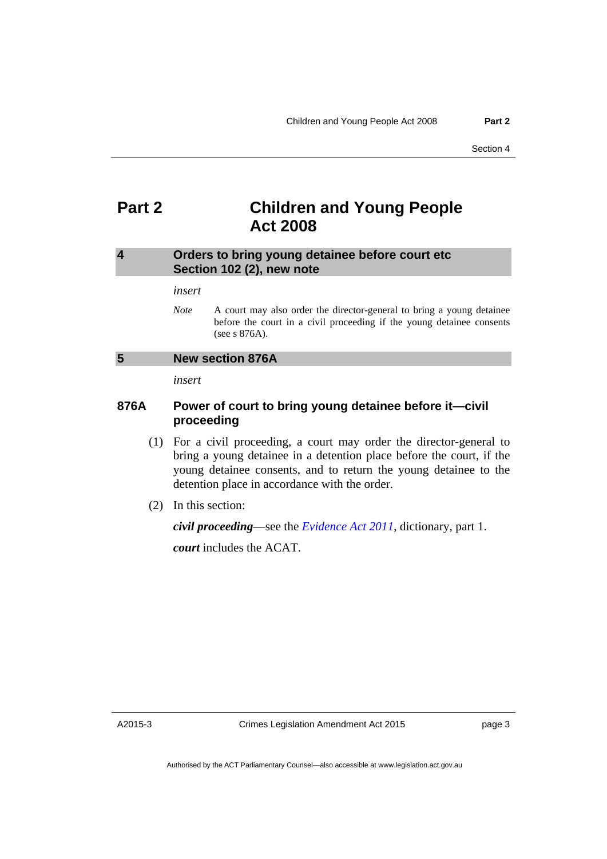# <span id="page-6-0"></span>**Part 2 Children and Young People Act 2008**

#### <span id="page-6-1"></span>**4 Orders to bring young detainee before court etc Section 102 (2), new note**

#### *insert*

*Note* A court may also order the director-general to bring a young detainee before the court in a civil proceeding if the young detainee consents (see s 876A).

#### <span id="page-6-2"></span>**5 New section 876A**

*insert* 

## **876A Power of court to bring young detainee before it—civil proceeding**

- (1) For a civil proceeding, a court may order the director-general to bring a young detainee in a detention place before the court, if the young detainee consents, and to return the young detainee to the detention place in accordance with the order.
- (2) In this section:

*civil proceeding*—see the *[Evidence Act 2011](http://www.legislation.act.gov.au/a/2011-12)*, dictionary, part 1.

*court* includes the ACAT.

A2015-3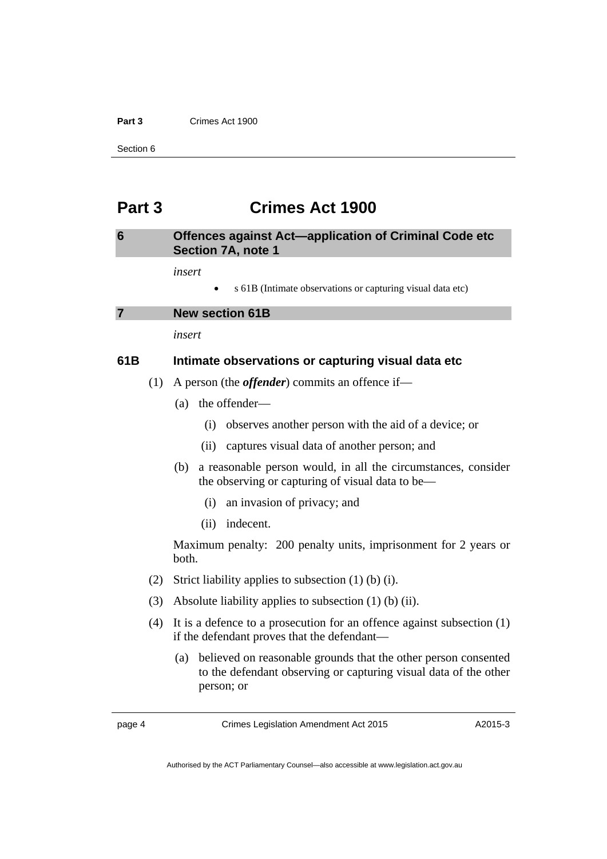#### **Part 3** Crimes Act 1900

Section 6

# <span id="page-7-0"></span>**Part 3 Crimes Act 1900**

### <span id="page-7-1"></span>**6 Offences against Act—application of Criminal Code etc Section 7A, note 1**

*insert* 

s 61B (Intimate observations or capturing visual data etc)

<span id="page-7-2"></span>

*insert* 

### **61B Intimate observations or capturing visual data etc**

- (1) A person (the *offender*) commits an offence if—
	- (a) the offender—
		- (i) observes another person with the aid of a device; or
		- (ii) captures visual data of another person; and
	- (b) a reasonable person would, in all the circumstances, consider the observing or capturing of visual data to be—
		- (i) an invasion of privacy; and
		- (ii) indecent.

Maximum penalty: 200 penalty units, imprisonment for 2 years or both.

- (2) Strict liability applies to subsection (1) (b) (i).
- (3) Absolute liability applies to subsection (1) (b) (ii).
- (4) It is a defence to a prosecution for an offence against subsection (1) if the defendant proves that the defendant—
	- (a) believed on reasonable grounds that the other person consented to the defendant observing or capturing visual data of the other person; or

page 4 Crimes Legislation Amendment Act 2015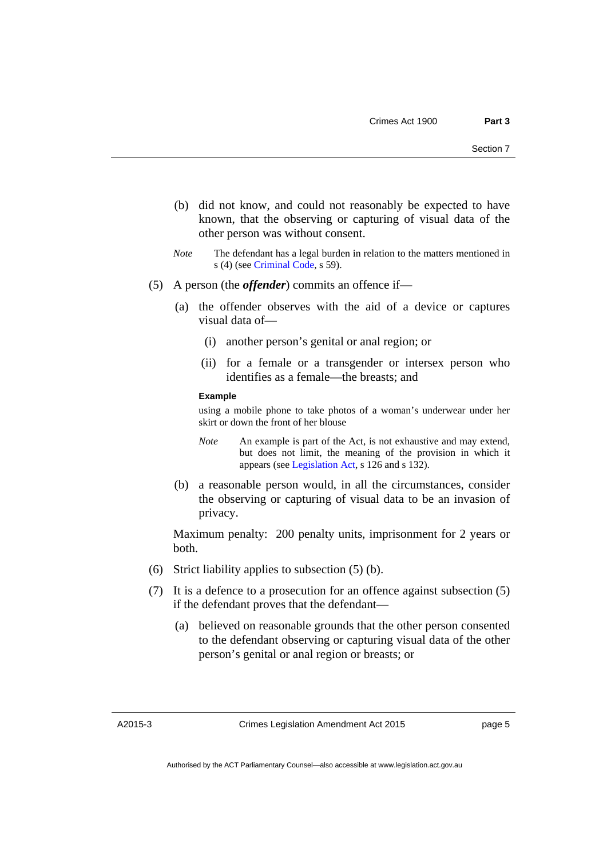- (b) did not know, and could not reasonably be expected to have known, that the observing or capturing of visual data of the other person was without consent.
- *Note* The defendant has a legal burden in relation to the matters mentioned in s (4) (see [Criminal Code](http://www.legislation.act.gov.au/a/2002-51), s 59).
- (5) A person (the *offender*) commits an offence if—
	- (a) the offender observes with the aid of a device or captures visual data of—
		- (i) another person's genital or anal region; or
		- (ii) for a female or a transgender or intersex person who identifies as a female—the breasts; and

#### **Example**

using a mobile phone to take photos of a woman's underwear under her skirt or down the front of her blouse

- *Note* An example is part of the Act, is not exhaustive and may extend, but does not limit, the meaning of the provision in which it appears (see [Legislation Act,](http://www.legislation.act.gov.au/a/2001-14) s 126 and s 132).
- (b) a reasonable person would, in all the circumstances, consider the observing or capturing of visual data to be an invasion of privacy.

Maximum penalty: 200 penalty units, imprisonment for 2 years or both.

- (6) Strict liability applies to subsection (5) (b).
- (7) It is a defence to a prosecution for an offence against subsection (5) if the defendant proves that the defendant—
	- (a) believed on reasonable grounds that the other person consented to the defendant observing or capturing visual data of the other person's genital or anal region or breasts; or

A2015-3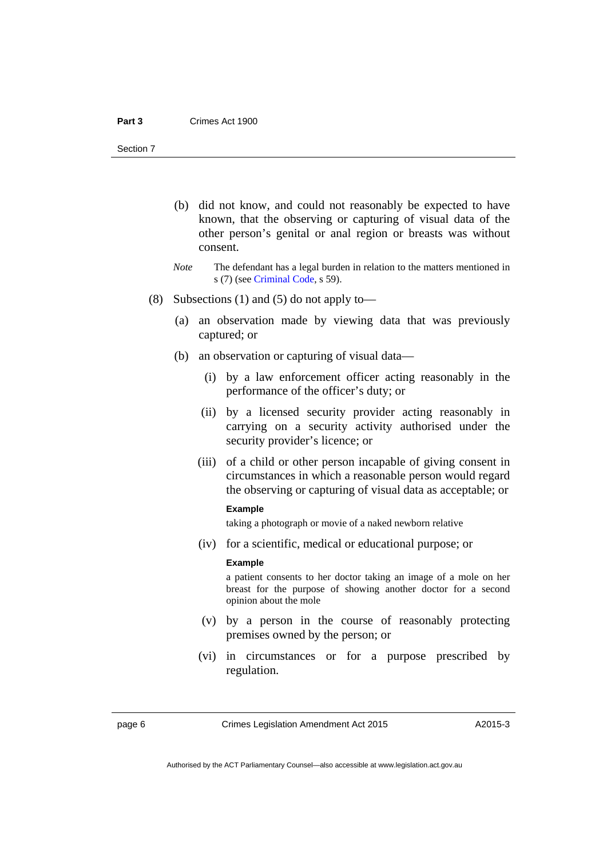- (b) did not know, and could not reasonably be expected to have known, that the observing or capturing of visual data of the other person's genital or anal region or breasts was without consent.
- *Note* The defendant has a legal burden in relation to the matters mentioned in s (7) (see [Criminal Code](http://www.legislation.act.gov.au/a/2002-51), s 59).
- (8) Subsections (1) and (5) do not apply to—
	- (a) an observation made by viewing data that was previously captured; or
	- (b) an observation or capturing of visual data—
		- (i) by a law enforcement officer acting reasonably in the performance of the officer's duty; or
		- (ii) by a licensed security provider acting reasonably in carrying on a security activity authorised under the security provider's licence; or
		- (iii) of a child or other person incapable of giving consent in circumstances in which a reasonable person would regard the observing or capturing of visual data as acceptable; or

#### **Example**

taking a photograph or movie of a naked newborn relative

(iv) for a scientific, medical or educational purpose; or

#### **Example**

a patient consents to her doctor taking an image of a mole on her breast for the purpose of showing another doctor for a second opinion about the mole

- (v) by a person in the course of reasonably protecting premises owned by the person; or
- (vi) in circumstances or for a purpose prescribed by regulation.

page 6 Crimes Legislation Amendment Act 2015

Authorised by the ACT Parliamentary Counsel—also accessible at www.legislation.act.gov.au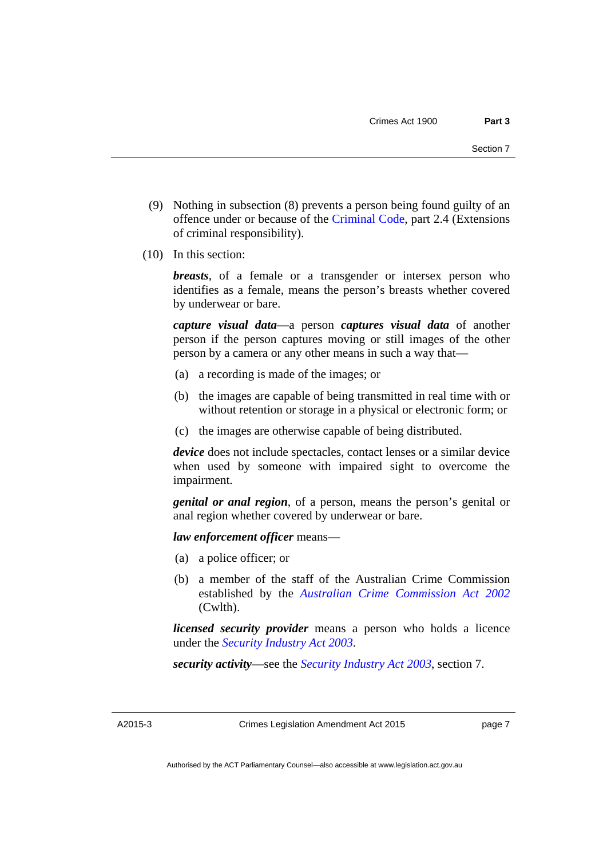- (9) Nothing in subsection (8) prevents a person being found guilty of an offence under or because of the [Criminal Code](http://www.legislation.act.gov.au/a/2002-51), part 2.4 (Extensions of criminal responsibility).
- (10) In this section:

*breasts*, of a female or a transgender or intersex person who identifies as a female, means the person's breasts whether covered by underwear or bare.

*capture visual data*—a person *captures visual data* of another person if the person captures moving or still images of the other person by a camera or any other means in such a way that—

- (a) a recording is made of the images; or
- (b) the images are capable of being transmitted in real time with or without retention or storage in a physical or electronic form; or
- (c) the images are otherwise capable of being distributed.

*device* does not include spectacles, contact lenses or a similar device when used by someone with impaired sight to overcome the impairment.

*genital or anal region*, of a person, means the person's genital or anal region whether covered by underwear or bare.

*law enforcement officer* means—

- (a) a police officer; or
- (b) a member of the staff of the Australian Crime Commission established by the *[Australian Crime Commission Act 2002](http://www.comlaw.gov.au/Series/C2004A02905)* (Cwlth).

*licensed security provider* means a person who holds a licence under the *[Security Industry Act 2003](http://www.legislation.act.gov.au/a/2003-4)*.

*security activity*—see the *[Security Industry Act 2003](http://www.legislation.act.gov.au/a/2003-4)*, section 7.

A2015-3

Crimes Legislation Amendment Act 2015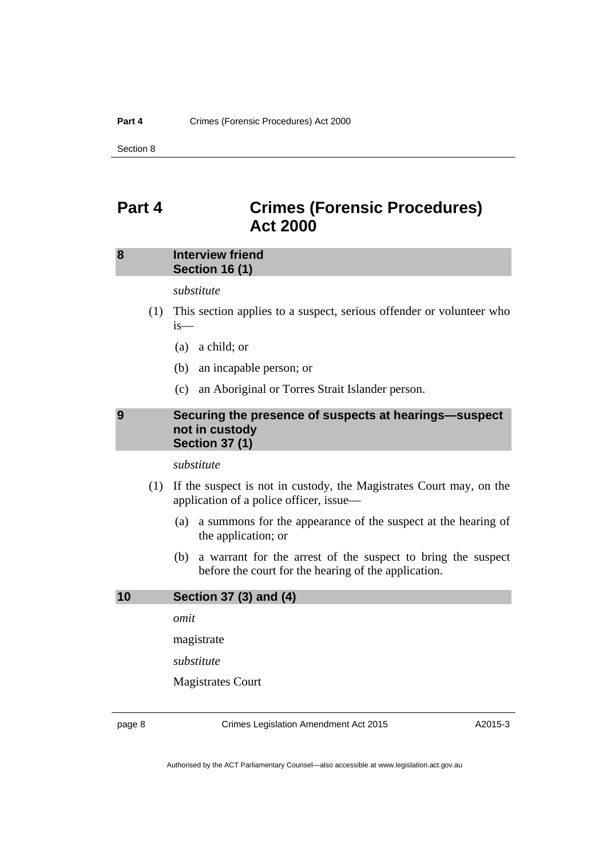# <span id="page-11-0"></span>**Part 4 Crimes (Forensic Procedures) Act 2000**

### <span id="page-11-1"></span>**8 Interview friend Section 16 (1)**

*substitute* 

- (1) This section applies to a suspect, serious offender or volunteer who is—
	- (a) a child; or
	- (b) an incapable person; or
	- (c) an Aboriginal or Torres Strait Islander person.

#### <span id="page-11-2"></span>**9 Securing the presence of suspects at hearings—suspect not in custody Section 37 (1)**

*substitute* 

- (1) If the suspect is not in custody, the Magistrates Court may, on the application of a police officer, issue—
	- (a) a summons for the appearance of the suspect at the hearing of the application; or
	- (b) a warrant for the arrest of the suspect to bring the suspect before the court for the hearing of the application.

#### <span id="page-11-3"></span>**10 Section 37 (3) and (4)**

*omit* 

magistrate

*substitute* 

Magistrates Court

page 8 Crimes Legislation Amendment Act 2015

A2015-3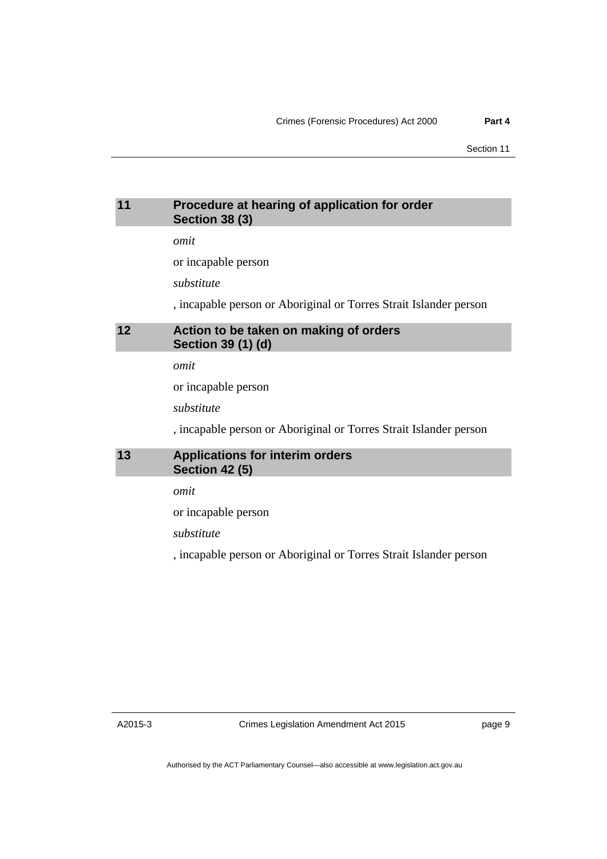# <span id="page-12-0"></span>**11 Procedure at hearing of application for order Section 38 (3)**

*omit* 

or incapable person

*substitute* 

, incapable person or Aboriginal or Torres Strait Islander person

# <span id="page-12-1"></span>**12 Action to be taken on making of orders Section 39 (1) (d)**

*omit* 

or incapable person

*substitute* 

, incapable person or Aboriginal or Torres Strait Islander person

# <span id="page-12-2"></span>**13 Applications for interim orders Section 42 (5)**

*omit* 

or incapable person

*substitute* 

, incapable person or Aboriginal or Torres Strait Islander person

A2015-3

Crimes Legislation Amendment Act 2015

page 9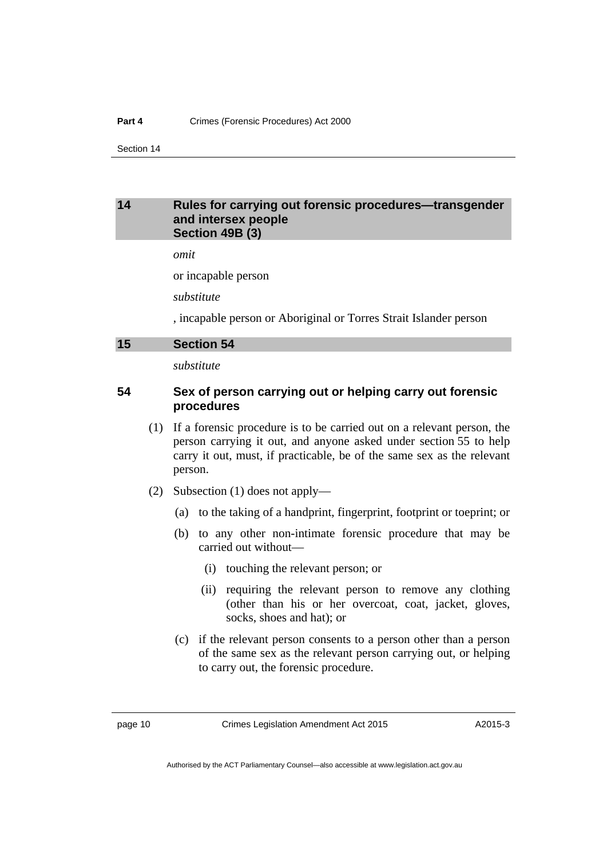#### <span id="page-13-0"></span>**14 Rules for carrying out forensic procedures—transgender and intersex people Section 49B (3)**

*omit* 

or incapable person

*substitute* 

, incapable person or Aboriginal or Torres Strait Islander person

#### <span id="page-13-1"></span>**15 Section 54**

*substitute* 

### **54 Sex of person carrying out or helping carry out forensic procedures**

- (1) If a forensic procedure is to be carried out on a relevant person, the person carrying it out, and anyone asked under section 55 to help carry it out, must, if practicable, be of the same sex as the relevant person.
- (2) Subsection (1) does not apply—
	- (a) to the taking of a handprint, fingerprint, footprint or toeprint; or
	- (b) to any other non-intimate forensic procedure that may be carried out without—
		- (i) touching the relevant person; or
		- (ii) requiring the relevant person to remove any clothing (other than his or her overcoat, coat, jacket, gloves, socks, shoes and hat); or
	- (c) if the relevant person consents to a person other than a person of the same sex as the relevant person carrying out, or helping to carry out, the forensic procedure.

page 10 Crimes Legislation Amendment Act 2015

A2015-3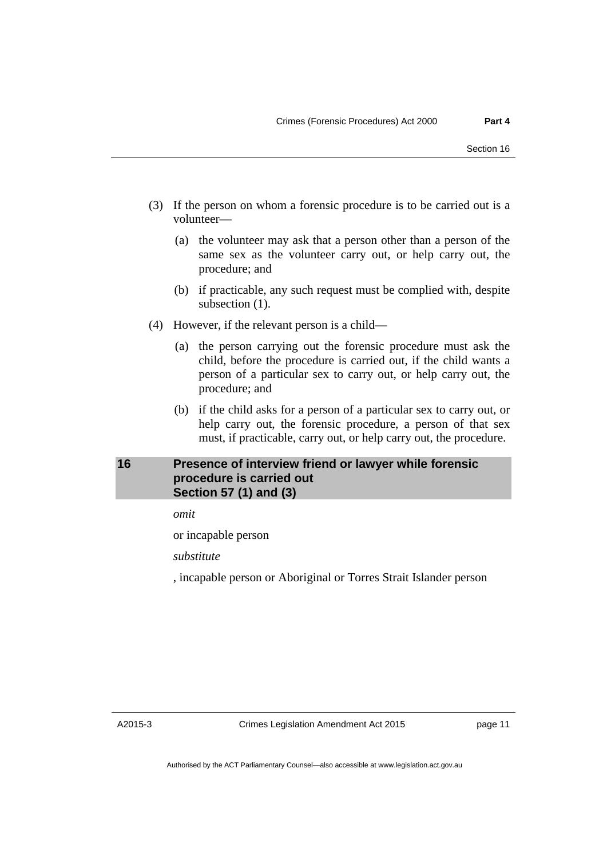- (3) If the person on whom a forensic procedure is to be carried out is a volunteer—
	- (a) the volunteer may ask that a person other than a person of the same sex as the volunteer carry out, or help carry out, the procedure; and
	- (b) if practicable, any such request must be complied with, despite subsection  $(1)$ .
- (4) However, if the relevant person is a child—
	- (a) the person carrying out the forensic procedure must ask the child, before the procedure is carried out, if the child wants a person of a particular sex to carry out, or help carry out, the procedure; and
	- (b) if the child asks for a person of a particular sex to carry out, or help carry out, the forensic procedure, a person of that sex must, if practicable, carry out, or help carry out, the procedure.

# <span id="page-14-0"></span>**16 Presence of interview friend or lawyer while forensic procedure is carried out Section 57 (1) and (3)**

*omit* 

or incapable person

*substitute* 

, incapable person or Aboriginal or Torres Strait Islander person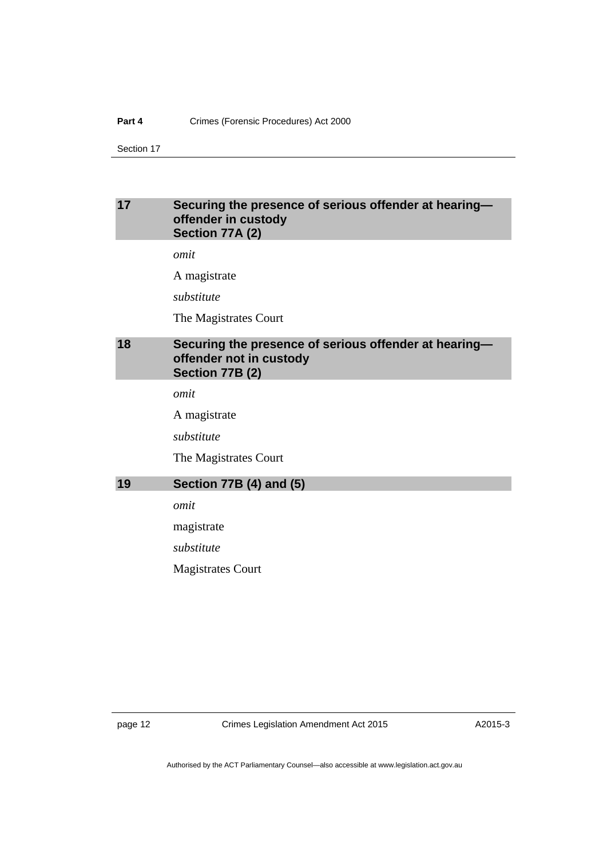#### **Part 4** Crimes (Forensic Procedures) Act 2000

Section 17

## <span id="page-15-0"></span>**17 Securing the presence of serious offender at hearing offender in custody Section 77A (2)**

*omit* 

A magistrate

*substitute* 

The Magistrates Court

# <span id="page-15-1"></span>**18 Securing the presence of serious offender at hearing offender not in custody Section 77B (2)**

*omit* 

A magistrate

*substitute* 

The Magistrates Court

#### <span id="page-15-2"></span>**19 Section 77B (4) and (5)**

*omit* 

magistrate

*substitute* 

Magistrates Court

page 12 Crimes Legislation Amendment Act 2015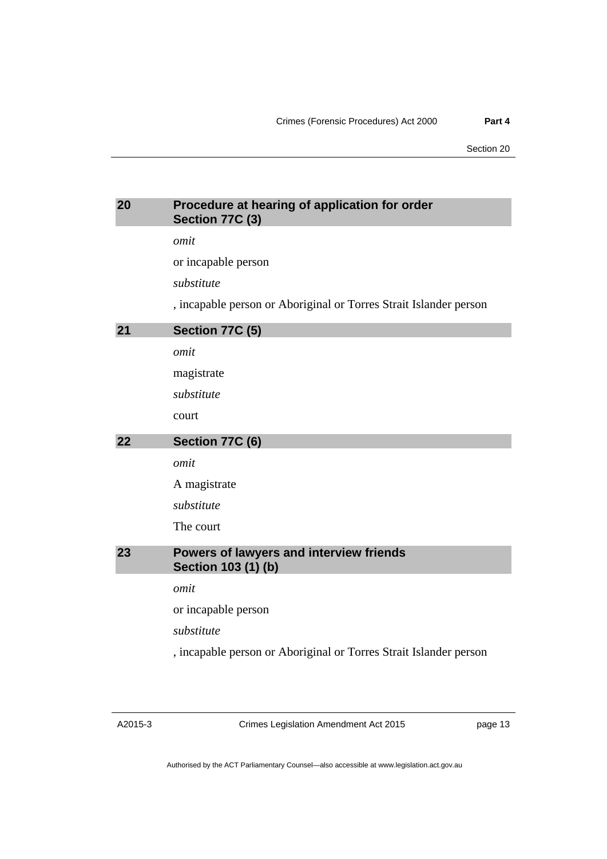# <span id="page-16-2"></span><span id="page-16-1"></span><span id="page-16-0"></span>**20 Procedure at hearing of application for order Section 77C (3)**  *omit*  or incapable person *substitute*  , incapable person or Aboriginal or Torres Strait Islander person **21 Section 77C (5)**  *omit*  magistrate *substitute*  court **22 Section 77C (6)**  *omit*  A magistrate *substitute*  The court **23 Powers of lawyers and interview friends Section 103 (1) (b)**  *omit*  or incapable person *substitute*  , incapable person or Aboriginal or Torres Strait Islander person

<span id="page-16-3"></span>Crimes Legislation Amendment Act 2015

page 13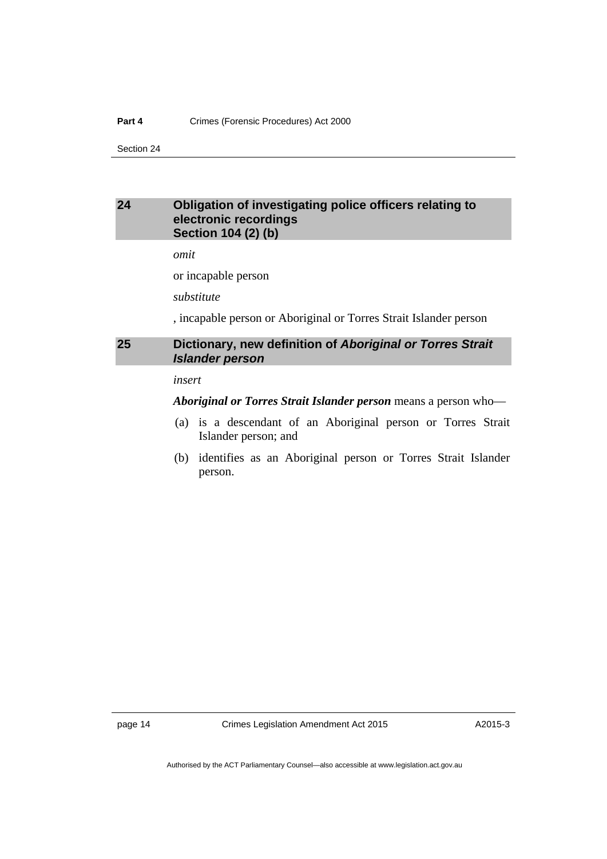#### **Part 4** Crimes (Forensic Procedures) Act 2000

Section 24

## <span id="page-17-0"></span>**24 Obligation of investigating police officers relating to electronic recordings Section 104 (2) (b)**

*omit* 

or incapable person

*substitute* 

, incapable person or Aboriginal or Torres Strait Islander person

## <span id="page-17-1"></span>**25 Dictionary, new definition of** *Aboriginal or Torres Strait Islander person*

#### *insert*

*Aboriginal or Torres Strait Islander person* means a person who—

- (a) is a descendant of an Aboriginal person or Torres Strait Islander person; and
- (b) identifies as an Aboriginal person or Torres Strait Islander person.

page 14 Crimes Legislation Amendment Act 2015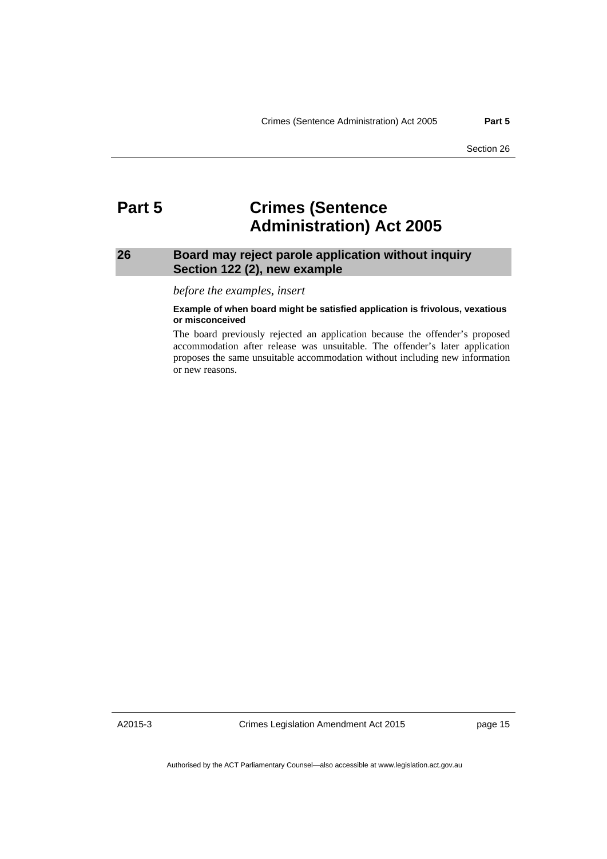# <span id="page-18-0"></span>**Part 5 Crimes (Sentence Administration) Act 2005**

### <span id="page-18-1"></span>**26 Board may reject parole application without inquiry Section 122 (2), new example**

*before the examples, insert* 

#### **Example of when board might be satisfied application is frivolous, vexatious or misconceived**

The board previously rejected an application because the offender's proposed accommodation after release was unsuitable. The offender's later application proposes the same unsuitable accommodation without including new information or new reasons.

A2015-3

Crimes Legislation Amendment Act 2015

page 15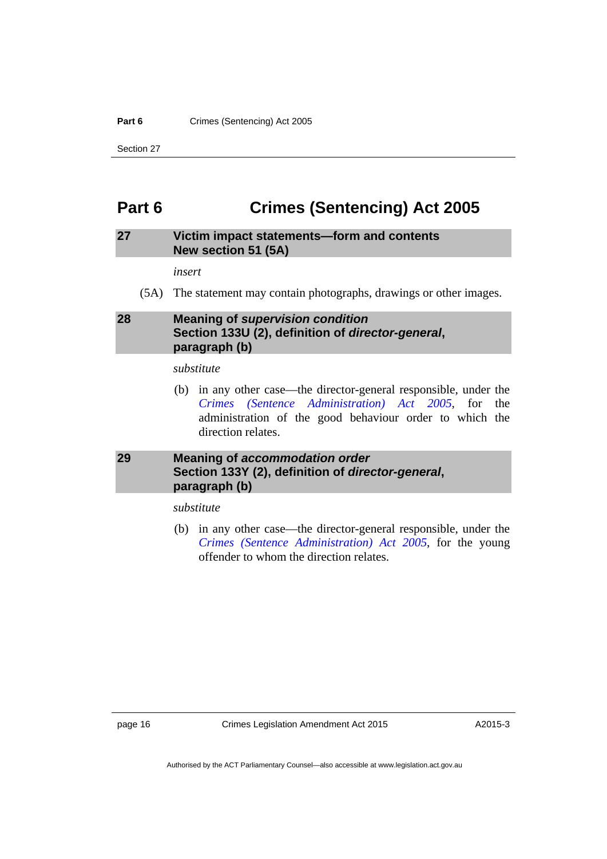#### Part 6 **Crimes (Sentencing)** Act 2005

Section 27

# <span id="page-19-0"></span>**Part 6 Crimes (Sentencing) Act 2005**

## <span id="page-19-1"></span>**27 Victim impact statements—form and contents New section 51 (5A)**

*insert* 

(5A) The statement may contain photographs, drawings or other images.

# <span id="page-19-2"></span>**28 Meaning of** *supervision condition*  **Section 133U (2), definition of** *director-general***, paragraph (b)**

#### *substitute*

 (b) in any other case—the director-general responsible, under the *[Crimes \(Sentence Administration\) Act 2005](http://www.legislation.act.gov.au/a/2005-59)*, for the administration of the good behaviour order to which the direction relates.

# <span id="page-19-3"></span>**29 Meaning of** *accommodation order* **Section 133Y (2), definition of** *director-general***, paragraph (b)**

*substitute* 

 (b) in any other case—the director-general responsible, under the *[Crimes \(Sentence Administration\) Act 2005](http://www.legislation.act.gov.au/a/2005-59)*, for the young offender to whom the direction relates.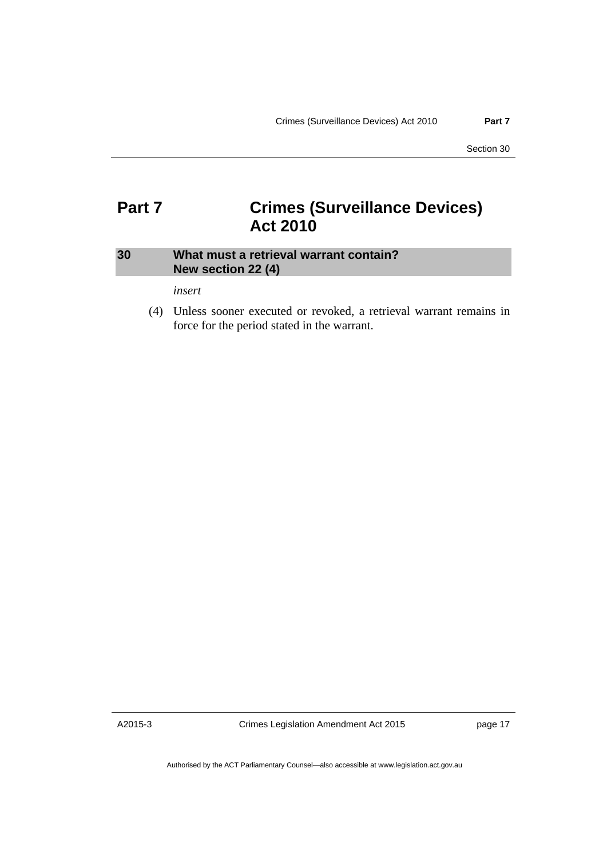# <span id="page-20-0"></span>**Part 7 Crimes (Surveillance Devices) Act 2010**

# <span id="page-20-1"></span>**30 What must a retrieval warrant contain? New section 22 (4)**

*insert* 

 (4) Unless sooner executed or revoked, a retrieval warrant remains in force for the period stated in the warrant.

A2015-3

Crimes Legislation Amendment Act 2015

page 17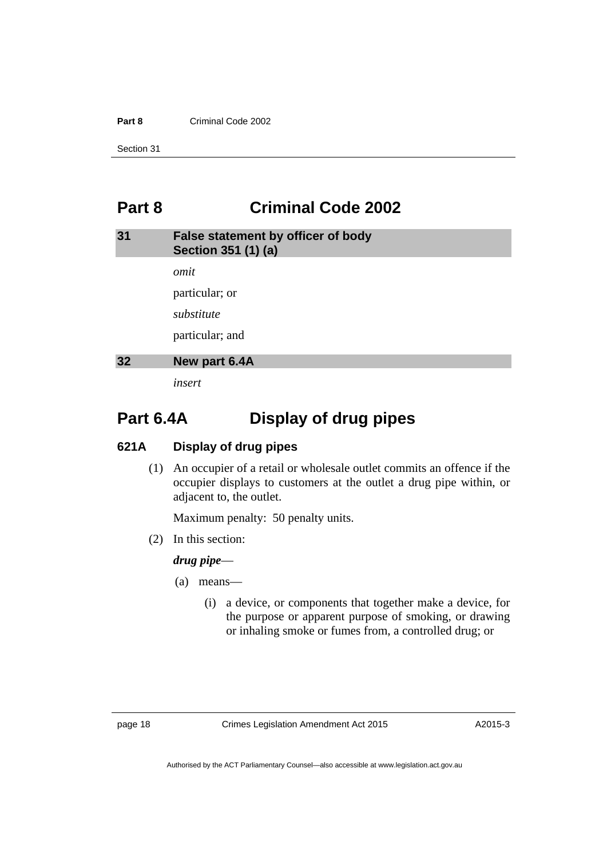#### **Part 8** Criminal Code 2002

Section 31

# <span id="page-21-0"></span>**Part 8 Criminal Code 2002**

<span id="page-21-1"></span>

| 31 | False statement by officer of body<br>Section 351 (1) (a) |
|----|-----------------------------------------------------------|
|    | omit                                                      |
|    | particular; or                                            |
|    | substitute                                                |
|    | particular; and                                           |
| 32 | New part 6.4A                                             |
|    | insert                                                    |

# <span id="page-21-2"></span>**Part 6.4A Display of drug pipes**

### **621A Display of drug pipes**

 (1) An occupier of a retail or wholesale outlet commits an offence if the occupier displays to customers at the outlet a drug pipe within, or adjacent to, the outlet.

Maximum penalty: 50 penalty units.

(2) In this section:

### *drug pipe*—

- (a) means—
	- (i) a device, or components that together make a device, for the purpose or apparent purpose of smoking, or drawing or inhaling smoke or fumes from, a controlled drug; or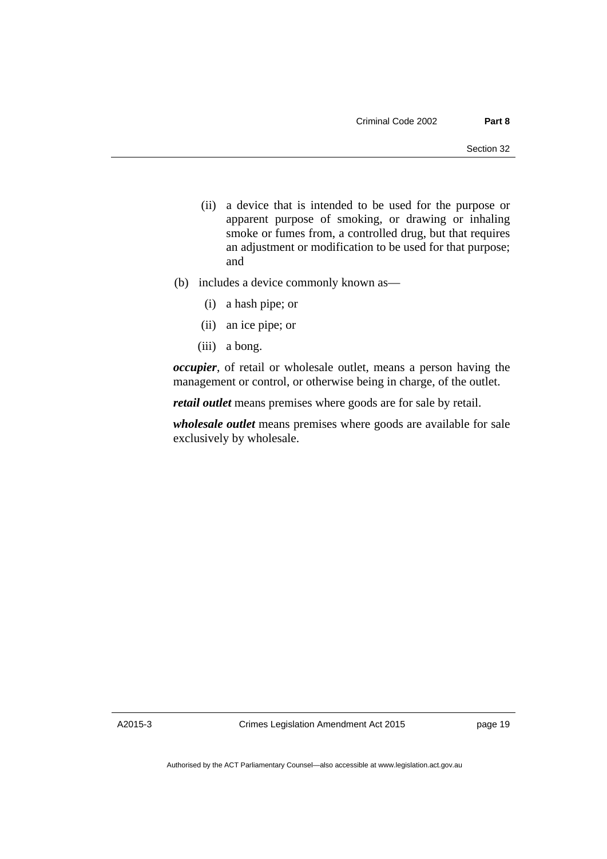- (ii) a device that is intended to be used for the purpose or apparent purpose of smoking, or drawing or inhaling smoke or fumes from, a controlled drug, but that requires an adjustment or modification to be used for that purpose; and
- (b) includes a device commonly known as—
	- (i) a hash pipe; or
	- (ii) an ice pipe; or
	- (iii) a bong.

*occupier*, of retail or wholesale outlet, means a person having the management or control, or otherwise being in charge, of the outlet.

*retail outlet* means premises where goods are for sale by retail.

*wholesale outlet* means premises where goods are available for sale exclusively by wholesale.

A2015-3

Crimes Legislation Amendment Act 2015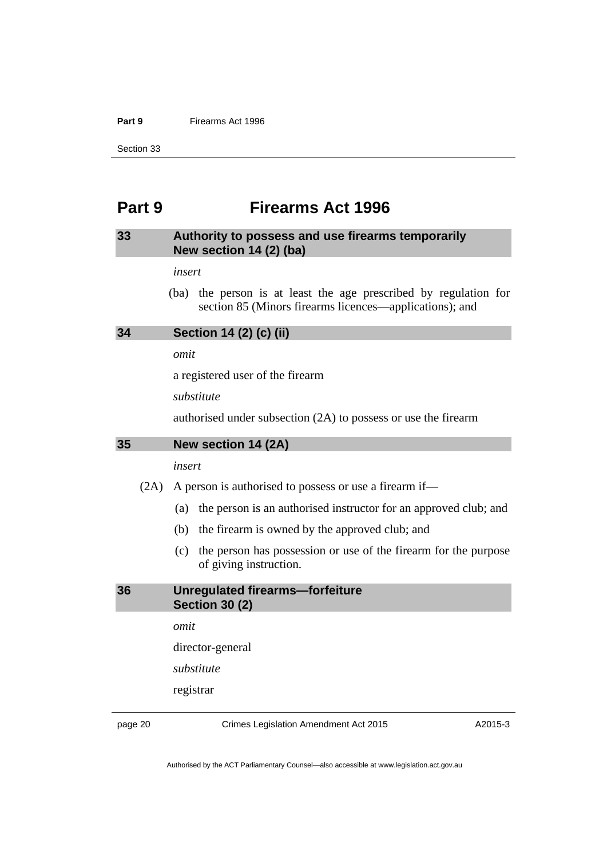#### **Part 9** Firearms Act 1996

Section 33

# <span id="page-23-0"></span>**Part 9 Firearms Act 1996**

# <span id="page-23-1"></span>**33 Authority to possess and use firearms temporarily New section 14 (2) (ba)**

*insert* 

 (ba) the person is at least the age prescribed by regulation for section 85 (Minors firearms licences—applications); and

#### <span id="page-23-2"></span>**34 Section 14 (2) (c) (ii)**

*omit* 

a registered user of the firearm

*substitute* 

authorised under subsection (2A) to possess or use the firearm

#### <span id="page-23-3"></span>**35 New section 14 (2A)**

*insert* 

(2A) A person is authorised to possess or use a firearm if—

- (a) the person is an authorised instructor for an approved club; and
- (b) the firearm is owned by the approved club; and
- (c) the person has possession or use of the firearm for the purpose of giving instruction.

#### <span id="page-23-4"></span>**36 Unregulated firearms—forfeiture Section 30 (2)**

*omit* 

director-general

*substitute* 

registrar

page 20 Crimes Legislation Amendment Act 2015

A2015-3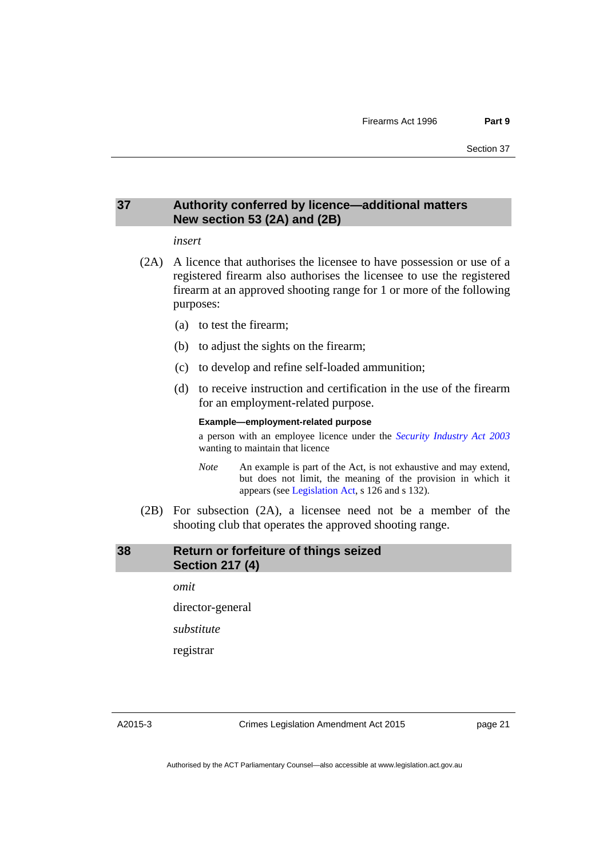# <span id="page-24-0"></span>**37 Authority conferred by licence—additional matters New section 53 (2A) and (2B)**

#### *insert*

- (2A) A licence that authorises the licensee to have possession or use of a registered firearm also authorises the licensee to use the registered firearm at an approved shooting range for 1 or more of the following purposes:
	- (a) to test the firearm;
	- (b) to adjust the sights on the firearm;
	- (c) to develop and refine self-loaded ammunition;
	- (d) to receive instruction and certification in the use of the firearm for an employment-related purpose.

#### **Example—employment-related purpose**

a person with an employee licence under the *[Security Industry Act 2003](http://www.legislation.act.gov.au/a/2003-4)* wanting to maintain that licence

- *Note* An example is part of the Act, is not exhaustive and may extend, but does not limit, the meaning of the provision in which it appears (see [Legislation Act,](http://www.legislation.act.gov.au/a/2001-14) s 126 and s 132).
- (2B) For subsection (2A), a licensee need not be a member of the shooting club that operates the approved shooting range.

### <span id="page-24-1"></span>**38 Return or forfeiture of things seized Section 217 (4)**

*omit* 

director-general

*substitute* 

registrar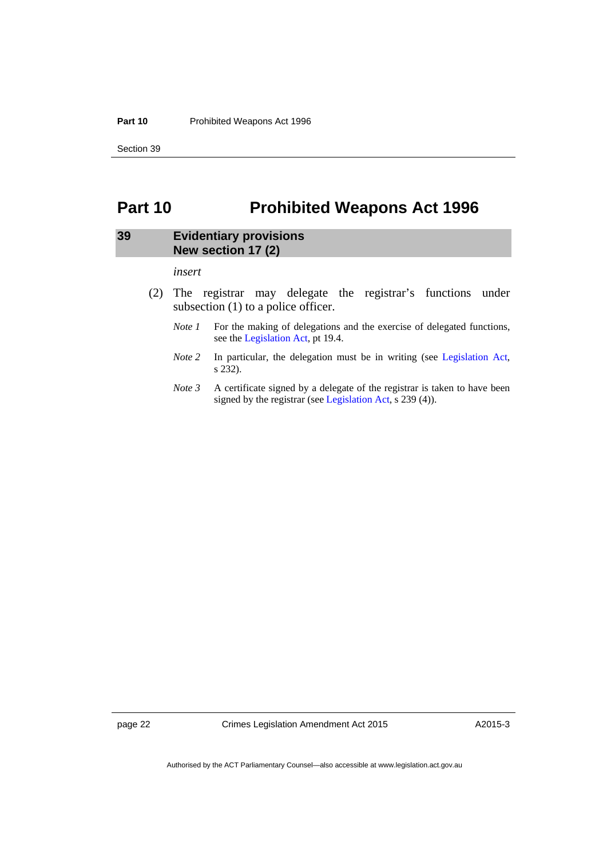#### **Part 10** Prohibited Weapons Act 1996

Section 39

# <span id="page-25-0"></span>**Part 10 Prohibited Weapons Act 1996**

### <span id="page-25-1"></span>**39 Evidentiary provisions New section 17 (2)**

*insert* 

- (2) The registrar may delegate the registrar's functions under subsection (1) to a police officer.
	- *Note 1* For the making of delegations and the exercise of delegated functions, see the [Legislation Act,](http://www.legislation.act.gov.au/a/2001-14) pt 19.4.
	- *Note 2* In particular, the delegation must be in writing (see [Legislation Act,](http://www.legislation.act.gov.au/a/2001-14) s 232).
	- *Note 3* A certificate signed by a delegate of the registrar is taken to have been signed by the registrar (see [Legislation Act](http://www.legislation.act.gov.au/a/2001-14), s 239 (4)).

page 22 Crimes Legislation Amendment Act 2015